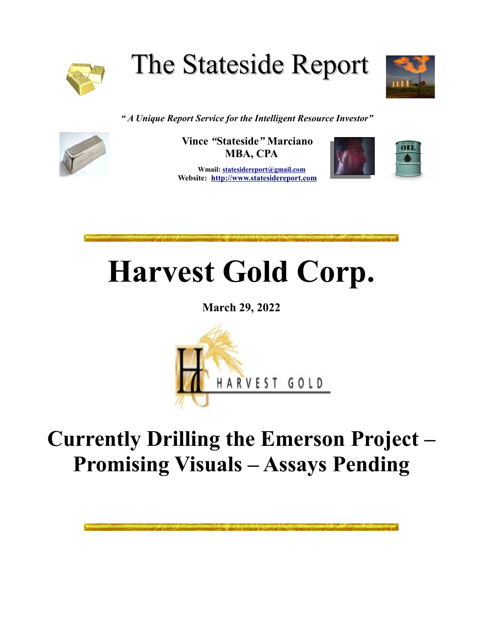

The Stateside Report



*" A Unique Report Service for the Intelligent Resource Investor"*



**Vince** *"***Stateside***"* **Marciano MBA, CPA**

 **Wmail: [st](mailto:stateside@statesidereport.com)atesidereport@gmail.com Website: [http://www.statesidereport.com](http://www.statesidereport.com/)**



**Harvest Gold Corp.**

**March 29, 2022**



## **Currently Drilling the Emerson Project – Promising Visuals – Assays Pending**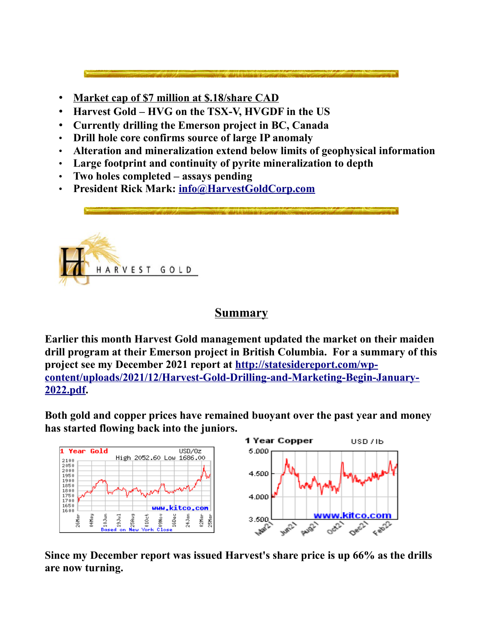• **Market cap of \$7 million at \$.18/share CAD**

- **Harvest Gold HVG on the TSX-V, HVGDF in the US**
- **Currently drilling the Emerson project in BC, Canada**
- **Drill hole core confirms source of large IP anomaly**
- **Alteration and mineralization extend below limits of geophysical information**
- **Large footprint and continuity of pyrite mineralization to depth**
- **Two holes completed assays pending**
- **President Rick Mark: [info@HarvestGoldCorp.com](mailto:info@HarvestGoldCorp.com)**



## **Summary**

**Earlier this month Harvest Gold management updated the market on their maiden drill program at their Emerson project in British Columbia. For a summary of this project see my December 2021 report at [http://statesidereport.com/wp](http://statesidereport.com/wp-content/uploads/2021/12/Harvest-Gold-Drilling-and-Marketing-Begin-January-2022.pdf)[content/uploads/2021/12/Harvest-Gold-Drilling-and-Marketing-Begin-January-](http://statesidereport.com/wp-content/uploads/2021/12/Harvest-Gold-Drilling-and-Marketing-Begin-January-2022.pdf)[2022.pdf.](http://statesidereport.com/wp-content/uploads/2021/12/Harvest-Gold-Drilling-and-Marketing-Begin-January-2022.pdf)** 

**Both gold and copper prices have remained buoyant over the past year and money has started flowing back into the juniors.**



**Since my December report was issued Harvest's share price is up 66% as the drills are now turning.**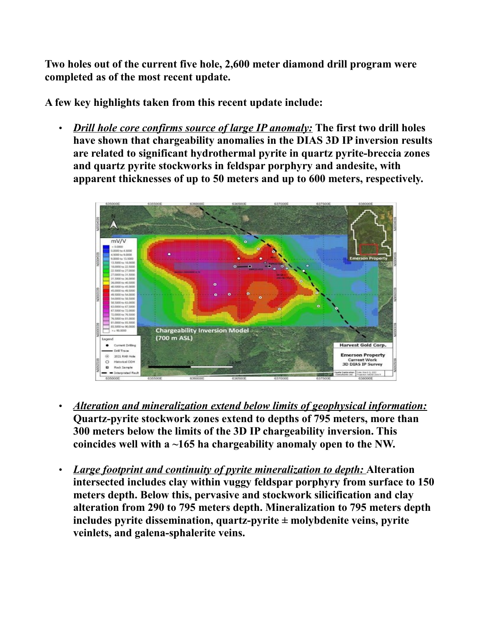**Two holes out of the current five hole, 2,600 meter diamond drill program were completed as of the most recent update.**

**A few key highlights taken from this recent update include:**

• *Drill hole core confirms source of large IP anomaly:* **The first two drill holes have shown that chargeability anomalies in the DIAS 3D IP inversion results are related to significant hydrothermal pyrite in quartz pyrite-breccia zones and quartz pyrite stockworks in feldspar porphyry and andesite, with apparent thicknesses of up to 50 meters and up to 600 meters, respectively.**



- *Alteration and mineralization extend below limits of geophysical information:* **Quartz-pyrite stockwork zones extend to depths of 795 meters, more than 300 meters below the limits of the 3D IP chargeability inversion. This coincides well with a ~165 ha chargeability anomaly open to the NW.**
- *Large footprint and continuity of pyrite mineralization to depth:* **Alteration intersected includes clay within vuggy feldspar porphyry from surface to 150 meters depth. Below this, pervasive and stockwork silicification and clay alteration from 290 to 795 meters depth. Mineralization to 795 meters depth includes pyrite dissemination, quartz-pyrite ± molybdenite veins, pyrite veinlets, and galena-sphalerite veins.**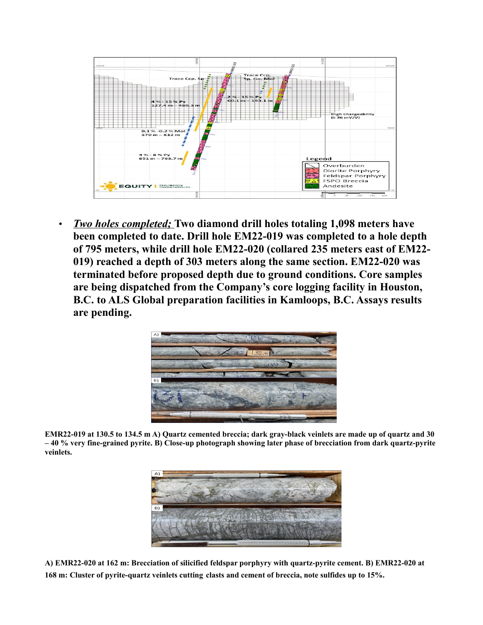

• *Two holes completed;* **Two diamond drill holes totaling 1,098 meters have been completed to date. Drill hole EM22-019 was completed to a hole depth of 795 meters, while drill hole EM22-020 (collared 235 meters east of EM22- 019) reached a depth of 303 meters along the same section. EM22-020 was terminated before proposed depth due to ground conditions. Core samples are being dispatched from the Company's core logging facility in Houston, B.C. to ALS Global preparation facilities in Kamloops, B.C. Assays results are pending.**



**EMR22-019 at 130.5 to 134.5 m A) Quartz cemented breccia; dark gray-black veinlets are made up of quartz and 30 – 40 % very fine-grained pyrite. B) Close-up photograph showing later phase of brecciation from dark quartz-pyrite veinlets.**



**A) EMR22-020 at 162 m: Brecciation of silicified feldspar porphyry with quartz-pyrite cement. B) EMR22-020 at 168 m: Cluster of pyrite-quartz veinlets cutting clasts and cement of breccia, note sulfides up to 15%.**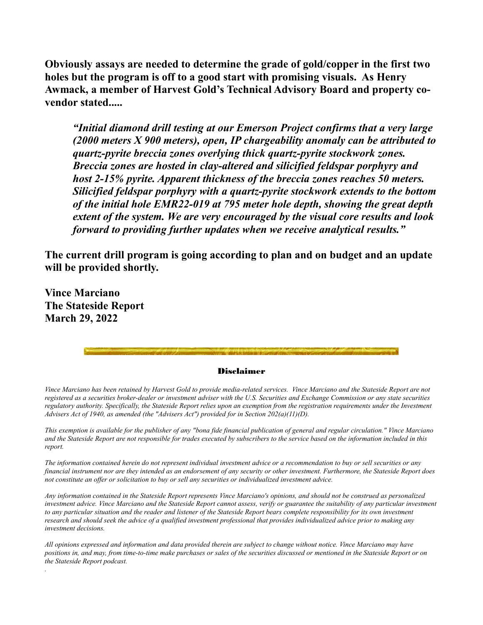**Obviously assays are needed to determine the grade of gold/copper in the first two holes but the program is off to a good start with promising visuals. As Henry Awmack, a member of Harvest Gold's Technical Advisory Board and property covendor stated.....**

*"Initial diamond drill testing at our Emerson Project confirms that a very large (2000 meters X 900 meters), open, IP chargeability anomaly can be attributed to quartz-pyrite breccia zones overlying thick quartz-pyrite stockwork zones. Breccia zones are hosted in clay-altered and silicified feldspar porphyry and host 2-15% pyrite. Apparent thickness of the breccia zones reaches 50 meters. Silicified feldspar porphyry with a quartz-pyrite stockwork extends to the bottom of the initial hole EMR22-019 at 795 meter hole depth, showing the great depth extent of the system. We are very encouraged by the visual core results and look forward to providing further updates when we receive analytical results."*

**The current drill program is going according to plan and on budget and an update will be provided shortly.**

**Vince Marciano The Stateside Report March 29, 2022**

*.*

## Disclaimer

*Vince Marciano has been retained by Harvest Gold to provide media-related services. Vince Marciano and the Stateside Report are not registered as a securities broker-dealer or investment adviser with the U.S. Securities and Exchange Commission or any state securities regulatory authority. Specifically, the Stateside Report relies upon an exemption from the registration requirements under the Investment Advisers Act of 1940, as amended (the "Advisers Act") provided for in Section 202(a)(11)(D).*

*This exemption is available for the publisher of any "bona fide financial publication of general and regular circulation." Vince Marciano and the Stateside Report are not responsible for trades executed by subscribers to the service based on the information included in this report.*

*The information contained herein do not represent individual investment advice or a recommendation to buy or sell securities or any financial instrument nor are they intended as an endorsement of any security or other investment. Furthermore, the Stateside Report does not constitute an offer or solicitation to buy or sell any securities or individualized investment advice.*

*Any information contained in the Stateside Report represents Vince Marciano's opinions, and should not be construed as personalized investment advice. Vince Marciano and the Stateside Report cannot assess, verify or guarantee the suitability of any particular investment to any particular situation and the reader and listener of the Stateside Report bears complete responsibility for its own investment research and should seek the advice of a qualified investment professional that provides individualized advice prior to making any investment decisions.*

*All opinions expressed and information and data provided therein are subject to change without notice. Vince Marciano may have positions in, and may, from time-to-time make purchases or sales of the securities discussed or mentioned in the Stateside Report or on the Stateside Report podcast.*